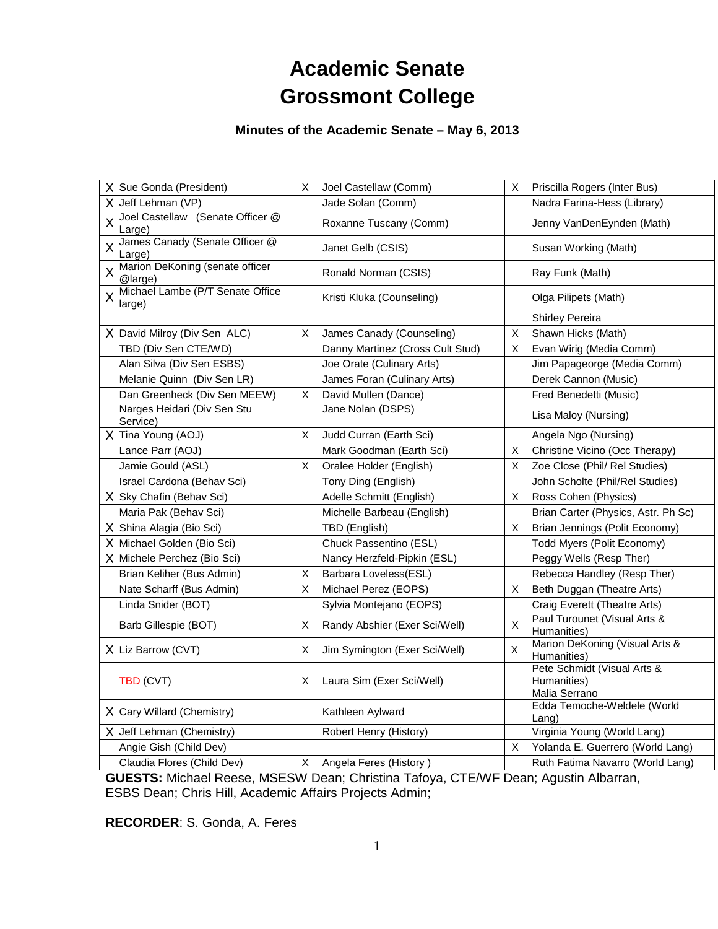# **Academic Senate Grossmont College**

## **Minutes of the Academic Senate – May 6, 2013**

| Sue Gonda (President)                      | $\pmb{\times}$ | Joel Castellaw (Comm)            | X              | Priscilla Rogers (Inter Bus)                                |
|--------------------------------------------|----------------|----------------------------------|----------------|-------------------------------------------------------------|
| Jeff Lehman (VP)                           |                | Jade Solan (Comm)                |                | Nadra Farina-Hess (Library)                                 |
| Joel Castellaw (Senate Officer @<br>Large) |                | Roxanne Tuscany (Comm)           |                | Jenny VanDenEynden (Math)                                   |
| James Canady (Senate Officer @<br>Large)   |                | Janet Gelb (CSIS)                |                | Susan Working (Math)                                        |
| Marion DeKoning (senate officer<br>@large) |                | Ronald Norman (CSIS)             |                | Ray Funk (Math)                                             |
| Michael Lambe (P/T Senate Office<br>large) |                | Kristi Kluka (Counseling)        |                | Olga Pilipets (Math)                                        |
|                                            |                |                                  |                | <b>Shirley Pereira</b>                                      |
| David Milroy (Div Sen ALC)                 | X              | James Canady (Counseling)        | X              | Shawn Hicks (Math)                                          |
| TBD (Div Sen CTE/WD)                       |                | Danny Martinez (Cross Cult Stud) | X              | Evan Wirig (Media Comm)                                     |
| Alan Silva (Div Sen ESBS)                  |                | Joe Orate (Culinary Arts)        |                | Jim Papageorge (Media Comm)                                 |
| Melanie Quinn (Div Sen LR)                 |                | James Foran (Culinary Arts)      |                | Derek Cannon (Music)                                        |
| Dan Greenheck (Div Sen MEEW)               | X              | David Mullen (Dance)             |                | Fred Benedetti (Music)                                      |
| Narges Heidari (Div Sen Stu<br>Service)    |                | Jane Nolan (DSPS)                |                | Lisa Maloy (Nursing)                                        |
| Tina Young (AOJ)                           | X              | Judd Curran (Earth Sci)          |                | Angela Ngo (Nursing)                                        |
| Lance Parr (AOJ)                           |                | Mark Goodman (Earth Sci)         | X              | Christine Vicino (Occ Therapy)                              |
| Jamie Gould (ASL)                          | X              | Oralee Holder (English)          | X              | Zoe Close (Phil/ Rel Studies)                               |
| Israel Cardona (Behav Sci)                 |                | Tony Ding (English)              |                | John Scholte (Phil/Rel Studies)                             |
| Sky Chafin (Behav Sci)                     |                | Adelle Schmitt (English)         | X              | Ross Cohen (Physics)                                        |
| Maria Pak (Behav Sci)                      |                | Michelle Barbeau (English)       |                | Brian Carter (Physics, Astr. Ph Sc)                         |
| Shina Alagia (Bio Sci)                     |                | TBD (English)                    | X              | Brian Jennings (Polit Economy)                              |
| Michael Golden (Bio Sci)                   |                | Chuck Passentino (ESL)           |                | Todd Myers (Polit Economy)                                  |
| Michele Perchez (Bio Sci)                  |                | Nancy Herzfeld-Pipkin (ESL)      |                | Peggy Wells (Resp Ther)                                     |
| Brian Keliher (Bus Admin)                  | X              | Barbara Loveless(ESL)            |                | Rebecca Handley (Resp Ther)                                 |
| Nate Scharff (Bus Admin)                   | X              | Michael Perez (EOPS)             | X              | Beth Duggan (Theatre Arts)                                  |
| Linda Snider (BOT)                         |                | Sylvia Montejano (EOPS)          |                | Craig Everett (Theatre Arts)                                |
| Barb Gillespie (BOT)                       | X              | Randy Abshier (Exer Sci/Well)    | $\pmb{\times}$ | Paul Turounet (Visual Arts &<br>Humanities)                 |
| Liz Barrow (CVT)                           | X              | Jim Symington (Exer Sci/Well)    | X              | Marion DeKoning (Visual Arts &<br>Humanities)               |
| TBD (CVT)                                  | Χ              | Laura Sim (Exer Sci/Well)        |                | Pete Schmidt (Visual Arts &<br>Humanities)<br>Malia Serrano |
| Cary Willard (Chemistry)                   |                | Kathleen Aylward                 |                | Edda Temoche-Weldele (World<br>$L$ ang)                     |
| Jeff Lehman (Chemistry)                    |                | Robert Henry (History)           |                | Virginia Young (World Lang)                                 |
| Angie Gish (Child Dev)                     |                |                                  | X.             | Yolanda E. Guerrero (World Lang)                            |
| Claudia Flores (Child Dev)                 | X.             | Angela Feres (History)           |                | Ruth Fatima Navarro (World Lang)                            |

**GUESTS:** Michael Reese, MSESW Dean; Christina Tafoya, CTE/WF Dean; Agustin Albarran, ESBS Dean; Chris Hill, Academic Affairs Projects Admin;

**RECORDER**: S. Gonda, A. Feres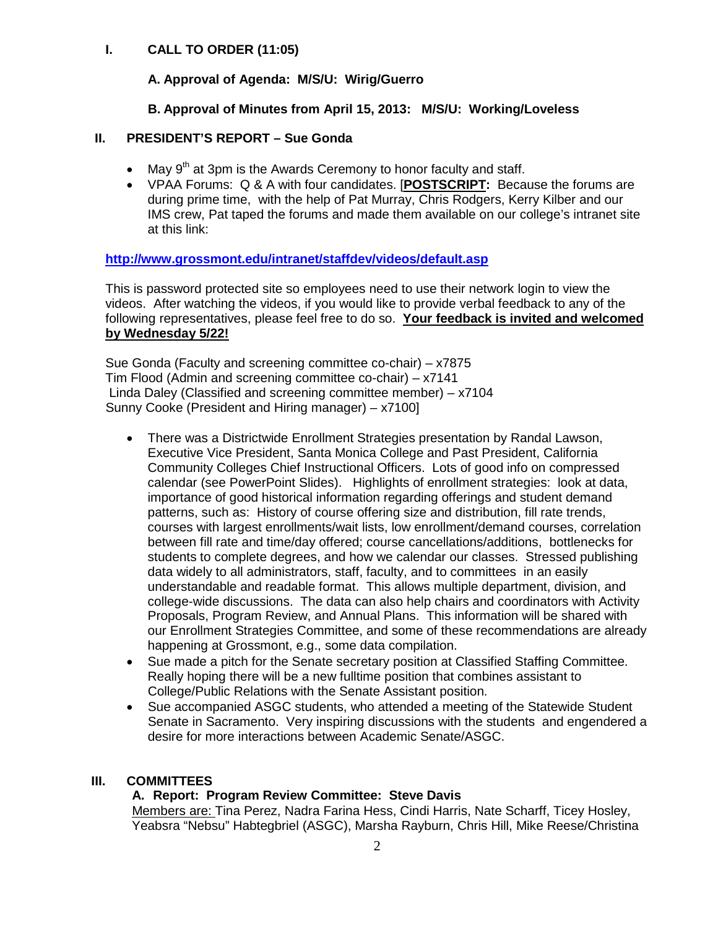## **I. CALL TO ORDER (11:05)**

## **A. Approval of Agenda: M/S/U: Wirig/Guerro**

## **B. Approval of Minutes from April 15, 2013: M/S/U: Working/Loveless**

## **II. PRESIDENT'S REPORT – Sue Gonda**

- May  $9<sup>th</sup>$  at 3pm is the Awards Ceremony to honor faculty and staff.
- VPAA Forums: Q & A with four candidates. [**POSTSCRIPT:** Because the forums are during prime time, with the help of Pat Murray, Chris Rodgers, Kerry Kilber and our IMS crew, Pat taped the forums and made them available on our college's intranet site at this link:

## **[http://www.grossmont.edu/intranet/staffdev/videos/default.asp](https://legacymail.gcccd.edu/exchweb/bin/redir.asp?URL=http://www.grossmont.edu/intranet/staffdev/videos/default.asp)**

This is password protected site so employees need to use their network login to view the videos. After watching the videos, if you would like to provide verbal feedback to any of the following representatives, please feel free to do so. **Your feedback is invited and welcomed by Wednesday 5/22!**

Sue Gonda (Faculty and screening committee co-chair) – x7875 Tim Flood (Admin and screening committee co-chair) – x7141 Linda Daley (Classified and screening committee member) – x7104 Sunny Cooke (President and Hiring manager) – x7100]

- There was a Districtwide Enrollment Strategies presentation by Randal Lawson, Executive Vice President, Santa Monica College and Past President, California Community Colleges Chief Instructional Officers. Lots of good info on compressed calendar (see PowerPoint Slides). Highlights of enrollment strategies: look at data, importance of good historical information regarding offerings and student demand patterns, such as: History of course offering size and distribution, fill rate trends, courses with largest enrollments/wait lists, low enrollment/demand courses, correlation between fill rate and time/day offered; course cancellations/additions, bottlenecks for students to complete degrees, and how we calendar our classes. Stressed publishing data widely to all administrators, staff, faculty, and to committees in an easily understandable and readable format. This allows multiple department, division, and college-wide discussions. The data can also help chairs and coordinators with Activity Proposals, Program Review, and Annual Plans. This information will be shared with our Enrollment Strategies Committee, and some of these recommendations are already happening at Grossmont, e.g., some data compilation.
- Sue made a pitch for the Senate secretary position at Classified Staffing Committee. Really hoping there will be a new fulltime position that combines assistant to College/Public Relations with the Senate Assistant position.
- Sue accompanied ASGC students, who attended a meeting of the Statewide Student Senate in Sacramento. Very inspiring discussions with the students and engendered a desire for more interactions between Academic Senate/ASGC.

#### **III. COMMITTEES**

## **A. Report: Program Review Committee: Steve Davis**

Members are: Tina Perez, Nadra Farina Hess, Cindi Harris, Nate Scharff, Ticey Hosley, Yeabsra "Nebsu" Habtegbriel (ASGC), Marsha Rayburn, Chris Hill, Mike Reese/Christina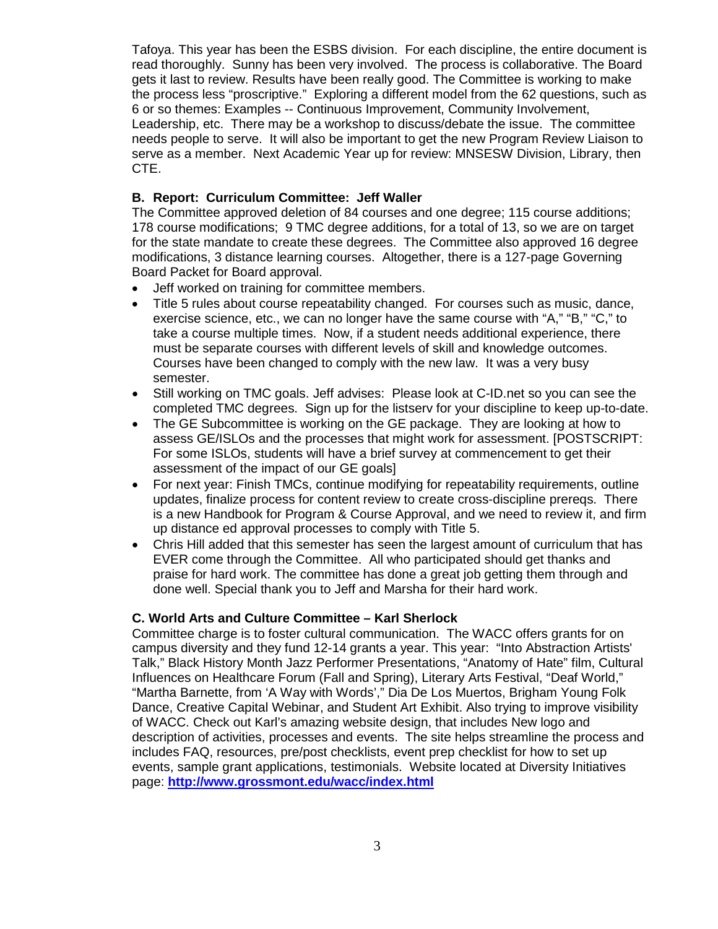Tafoya. This year has been the ESBS division. For each discipline, the entire document is read thoroughly. Sunny has been very involved. The process is collaborative. The Board gets it last to review. Results have been really good. The Committee is working to make the process less "proscriptive." Exploring a different model from the 62 questions, such as 6 or so themes: Examples -- Continuous Improvement, Community Involvement, Leadership, etc. There may be a workshop to discuss/debate the issue. The committee needs people to serve. It will also be important to get the new Program Review Liaison to serve as a member. Next Academic Year up for review: MNSESW Division, Library, then CTE.

## **B. Report: Curriculum Committee: Jeff Waller**

The Committee approved deletion of 84 courses and one degree; 115 course additions; 178 course modifications; 9 TMC degree additions, for a total of 13, so we are on target for the state mandate to create these degrees. The Committee also approved 16 degree modifications, 3 distance learning courses. Altogether, there is a 127-page Governing Board Packet for Board approval.

- Jeff worked on training for committee members.
- Title 5 rules about course repeatability changed. For courses such as music, dance, exercise science, etc., we can no longer have the same course with "A," "B," "C," to take a course multiple times. Now, if a student needs additional experience, there must be separate courses with different levels of skill and knowledge outcomes. Courses have been changed to comply with the new law. It was a very busy semester.
- Still working on TMC goals. Jeff advises: Please look at C-ID.net so you can see the completed TMC degrees. Sign up for the listserv for your discipline to keep up-to-date.
- The GE Subcommittee is working on the GE package. They are looking at how to assess GE/ISLOs and the processes that might work for assessment. [POSTSCRIPT: For some ISLOs, students will have a brief survey at commencement to get their assessment of the impact of our GE goals]
- For next year: Finish TMCs, continue modifying for repeatability requirements, outline updates, finalize process for content review to create cross-discipline prereqs. There is a new Handbook for Program & Course Approval, and we need to review it, and firm up distance ed approval processes to comply with Title 5.
- Chris Hill added that this semester has seen the largest amount of curriculum that has EVER come through the Committee. All who participated should get thanks and praise for hard work. The committee has done a great job getting them through and done well. Special thank you to Jeff and Marsha for their hard work.

#### **C. World Arts and Culture Committee – Karl Sherlock**

Committee charge is to foster cultural communication. The WACC offers grants for on campus diversity and they fund 12-14 grants a year. This year: "Into Abstraction Artists' Talk," Black History Month Jazz Performer Presentations, "Anatomy of Hate" film, Cultural Influences on Healthcare Forum (Fall and Spring), Literary Arts Festival, "Deaf World," "Martha Barnette, from 'A Way with Words'," Dia De Los Muertos, Brigham Young Folk Dance, Creative Capital Webinar, and Student Art Exhibit. Also trying to improve visibility of WACC. Check out Karl's amazing website design, that includes New logo and description of activities, processes and events. The site helps streamline the process and includes FAQ, resources, pre/post checklists, event prep checklist for how to set up events, sample grant applications, testimonials. Website located at Diversity Initiatives page: **<http://www.grossmont.edu/wacc/index.html>**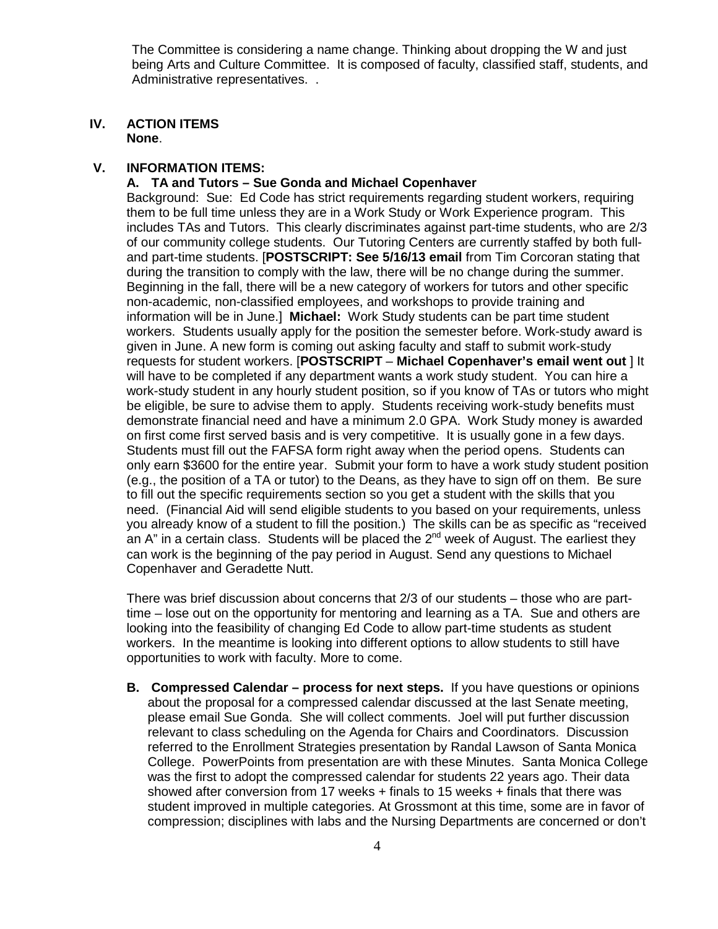The Committee is considering a name change. Thinking about dropping the W and just being Arts and Culture Committee. It is composed of faculty, classified staff, students, and Administrative representatives. .

#### **IV. ACTION ITEMS None**.

## **V. INFORMATION ITEMS:**

**A. TA and Tutors – Sue Gonda and Michael Copenhaver**

Background: Sue: Ed Code has strict requirements regarding student workers, requiring them to be full time unless they are in a Work Study or Work Experience program. This includes TAs and Tutors. This clearly discriminates against part-time students, who are 2/3 of our community college students. Our Tutoring Centers are currently staffed by both fulland part-time students. [**POSTSCRIPT: See 5/16/13 email** from Tim Corcoran stating that during the transition to comply with the law, there will be no change during the summer. Beginning in the fall, there will be a new category of workers for tutors and other specific non-academic, non-classified employees, and workshops to provide training and information will be in June.] **Michael:** Work Study students can be part time student workers. Students usually apply for the position the semester before. Work-study award is given in June. A new form is coming out asking faculty and staff to submit work-study requests for student workers. [**POSTSCRIPT** – **Michael Copenhaver's email went out** ] It will have to be completed if any department wants a work study student. You can hire a work-study student in any hourly student position, so if you know of TAs or tutors who might be eligible, be sure to advise them to apply. Students receiving work-study benefits must demonstrate financial need and have a minimum 2.0 GPA. Work Study money is awarded on first come first served basis and is very competitive. It is usually gone in a few days. Students must fill out the FAFSA form right away when the period opens. Students can only earn \$3600 for the entire year. Submit your form to have a work study student position (e.g., the position of a TA or tutor) to the Deans, as they have to sign off on them. Be sure to fill out the specific requirements section so you get a student with the skills that you need. (Financial Aid will send eligible students to you based on your requirements, unless you already know of a student to fill the position.) The skills can be as specific as "received an A" in a certain class. Students will be placed the  $2<sup>nd</sup>$  week of August. The earliest they can work is the beginning of the pay period in August. Send any questions to Michael Copenhaver and Geradette Nutt.

There was brief discussion about concerns that 2/3 of our students – those who are parttime – lose out on the opportunity for mentoring and learning as a TA. Sue and others are looking into the feasibility of changing Ed Code to allow part-time students as student workers. In the meantime is looking into different options to allow students to still have opportunities to work with faculty. More to come.

**B. Compressed Calendar – process for next steps.** If you have questions or opinions about the proposal for a compressed calendar discussed at the last Senate meeting, please email Sue Gonda. She will collect comments. Joel will put further discussion relevant to class scheduling on the Agenda for Chairs and Coordinators. Discussion referred to the Enrollment Strategies presentation by Randal Lawson of Santa Monica College. PowerPoints from presentation are with these Minutes. Santa Monica College was the first to adopt the compressed calendar for students 22 years ago. Their data showed after conversion from 17 weeks + finals to 15 weeks + finals that there was student improved in multiple categories. At Grossmont at this time, some are in favor of compression; disciplines with labs and the Nursing Departments are concerned or don't